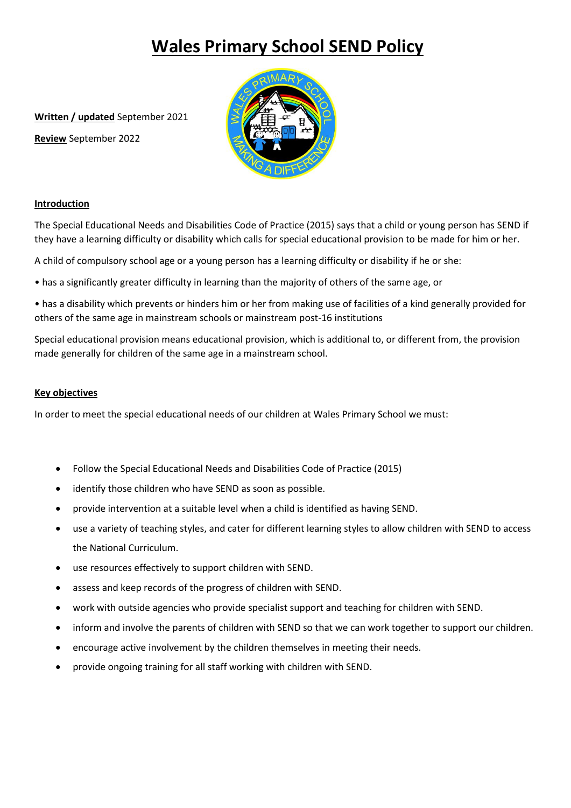# **Wales Primary School SEND Policy**

**Written / updated** September 2021

**Review** September 2022



## **Introduction**

The Special Educational Needs and Disabilities Code of Practice (2015) says that a child or young person has SEND if they have a learning difficulty or disability which calls for special educational provision to be made for him or her.

A child of compulsory school age or a young person has a learning difficulty or disability if he or she:

• has a significantly greater difficulty in learning than the majority of others of the same age, or

• has a disability which prevents or hinders him or her from making use of facilities of a kind generally provided for others of the same age in mainstream schools or mainstream post-16 institutions

Special educational provision means educational provision, which is additional to, or different from, the provision made generally for children of the same age in a mainstream school.

#### **Key objectives**

In order to meet the special educational needs of our children at Wales Primary School we must:

- Follow the Special Educational Needs and Disabilities Code of Practice (2015)
- identify those children who have SEND as soon as possible.
- provide intervention at a suitable level when a child is identified as having SEND.
- use a variety of teaching styles, and cater for different learning styles to allow children with SEND to access the National Curriculum.
- use resources effectively to support children with SEND.
- assess and keep records of the progress of children with SEND.
- work with outside agencies who provide specialist support and teaching for children with SEND.
- inform and involve the parents of children with SEND so that we can work together to support our children.
- encourage active involvement by the children themselves in meeting their needs.
- provide ongoing training for all staff working with children with SEND.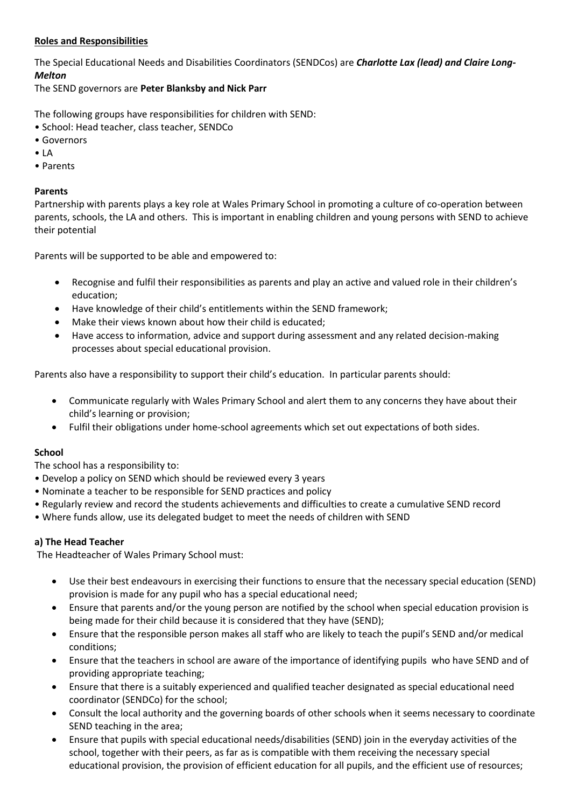# **Roles and Responsibilities**

The Special Educational Needs and Disabilities Coordinators (SENDCos) are *Charlotte Lax (lead) and Claire Long-Melton*

The SEND governors are **Peter Blanksby and Nick Parr**

The following groups have responsibilities for children with SEND:

- School: Head teacher, class teacher, SENDCo
- Governors
- LA
- Parents

## **Parents**

Partnership with parents plays a key role at Wales Primary School in promoting a culture of co-operation between parents, schools, the LA and others. This is important in enabling children and young persons with SEND to achieve their potential

Parents will be supported to be able and empowered to:

- Recognise and fulfil their responsibilities as parents and play an active and valued role in their children's education;
- Have knowledge of their child's entitlements within the SEND framework;
- Make their views known about how their child is educated;
- Have access to information, advice and support during assessment and any related decision-making processes about special educational provision.

Parents also have a responsibility to support their child's education. In particular parents should:

- Communicate regularly with Wales Primary School and alert them to any concerns they have about their child's learning or provision;
- Fulfil their obligations under home-school agreements which set out expectations of both sides.

# **School**

The school has a responsibility to:

- Develop a policy on SEND which should be reviewed every 3 years
- Nominate a teacher to be responsible for SEND practices and policy
- Regularly review and record the students achievements and difficulties to create a cumulative SEND record
- Where funds allow, use its delegated budget to meet the needs of children with SEND

# **a) The Head Teacher**

The Headteacher of Wales Primary School must:

- Use their best endeavours in exercising their functions to ensure that the necessary special education (SEND) provision is made for any pupil who has a special educational need;
- Ensure that parents and/or the young person are notified by the school when special education provision is being made for their child because it is considered that they have (SEND);
- Ensure that the responsible person makes all staff who are likely to teach the pupil's SEND and/or medical conditions;
- Ensure that the teachers in school are aware of the importance of identifying pupils who have SEND and of providing appropriate teaching;
- Ensure that there is a suitably experienced and qualified teacher designated as special educational need coordinator (SENDCo) for the school;
- Consult the local authority and the governing boards of other schools when it seems necessary to coordinate SEND teaching in the area;
- Ensure that pupils with special educational needs/disabilities (SEND) join in the everyday activities of the school, together with their peers, as far as is compatible with them receiving the necessary special educational provision, the provision of efficient education for all pupils, and the efficient use of resources;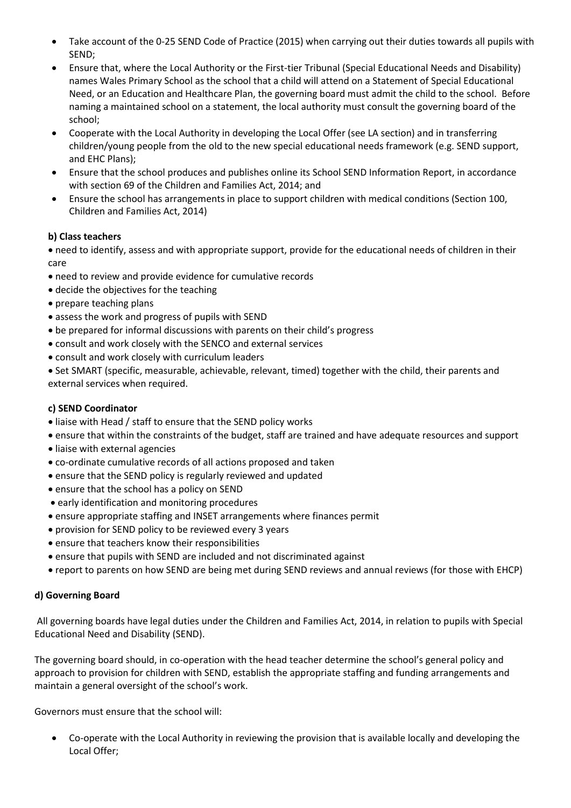- Take account of the 0-25 SEND Code of Practice (2015) when carrying out their duties towards all pupils with SEND;
- Ensure that, where the Local Authority or the First-tier Tribunal (Special Educational Needs and Disability) names Wales Primary School as the school that a child will attend on a Statement of Special Educational Need, or an Education and Healthcare Plan, the governing board must admit the child to the school. Before naming a maintained school on a statement, the local authority must consult the governing board of the school;
- Cooperate with the Local Authority in developing the Local Offer (see LA section) and in transferring children/young people from the old to the new special educational needs framework (e.g. SEND support, and EHC Plans);
- Ensure that the school produces and publishes online its School SEND Information Report, in accordance with section 69 of the Children and Families Act, 2014; and
- Ensure the school has arrangements in place to support children with medical conditions (Section 100, Children and Families Act, 2014)

# **b) Class teachers**

 need to identify, assess and with appropriate support, provide for the educational needs of children in their care

- need to review and provide evidence for cumulative records
- decide the objectives for the teaching
- prepare teaching plans
- assess the work and progress of pupils with SEND
- be prepared for informal discussions with parents on their child's progress
- consult and work closely with the SENCO and external services
- consult and work closely with curriculum leaders

 Set SMART (specific, measurable, achievable, relevant, timed) together with the child, their parents and external services when required.

# **c) SEND Coordinator**

- liaise with Head / staff to ensure that the SEND policy works
- ensure that within the constraints of the budget, staff are trained and have adequate resources and support
- liaise with external agencies
- co-ordinate cumulative records of all actions proposed and taken
- ensure that the SEND policy is regularly reviewed and updated
- ensure that the school has a policy on SEND
- early identification and monitoring procedures
- ensure appropriate staffing and INSET arrangements where finances permit
- provision for SEND policy to be reviewed every 3 years
- ensure that teachers know their responsibilities
- ensure that pupils with SEND are included and not discriminated against
- report to parents on how SEND are being met during SEND reviews and annual reviews (for those with EHCP)

# **d) Governing Board**

All governing boards have legal duties under the Children and Families Act, 2014, in relation to pupils with Special Educational Need and Disability (SEND).

The governing board should, in co-operation with the head teacher determine the school's general policy and approach to provision for children with SEND, establish the appropriate staffing and funding arrangements and maintain a general oversight of the school's work.

Governors must ensure that the school will:

 Co-operate with the Local Authority in reviewing the provision that is available locally and developing the Local Offer;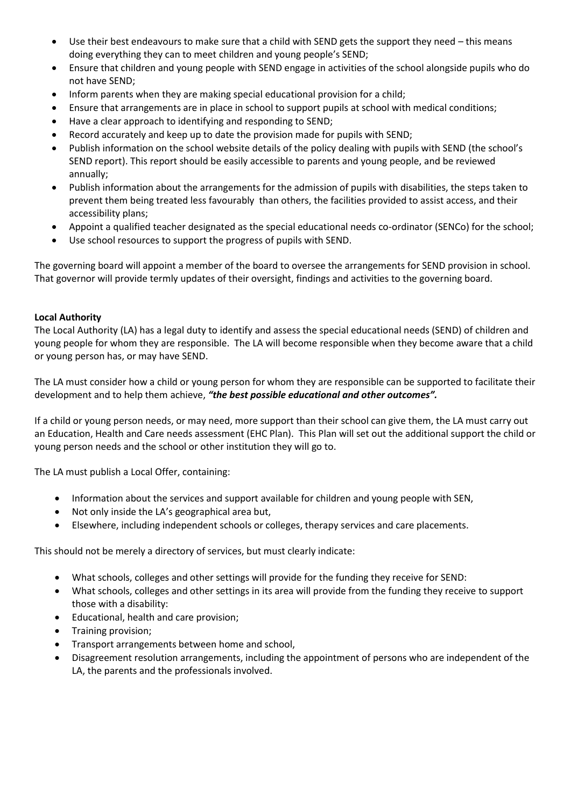- Use their best endeavours to make sure that a child with SEND gets the support they need this means doing everything they can to meet children and young people's SEND;
- Ensure that children and young people with SEND engage in activities of the school alongside pupils who do not have SEND;
- Inform parents when they are making special educational provision for a child;
- Ensure that arrangements are in place in school to support pupils at school with medical conditions;
- Have a clear approach to identifying and responding to SEND;
- Record accurately and keep up to date the provision made for pupils with SEND;
- Publish information on the school website details of the policy dealing with pupils with SEND (the school's SEND report). This report should be easily accessible to parents and young people, and be reviewed annually;
- Publish information about the arrangements for the admission of pupils with disabilities, the steps taken to prevent them being treated less favourably than others, the facilities provided to assist access, and their accessibility plans;
- Appoint a qualified teacher designated as the special educational needs co-ordinator (SENCo) for the school;
- Use school resources to support the progress of pupils with SEND.

The governing board will appoint a member of the board to oversee the arrangements for SEND provision in school. That governor will provide termly updates of their oversight, findings and activities to the governing board.

## **Local Authority**

The Local Authority (LA) has a legal duty to identify and assess the special educational needs (SEND) of children and young people for whom they are responsible. The LA will become responsible when they become aware that a child or young person has, or may have SEND.

The LA must consider how a child or young person for whom they are responsible can be supported to facilitate their development and to help them achieve, *"the best possible educational and other outcomes".*

If a child or young person needs, or may need, more support than their school can give them, the LA must carry out an Education, Health and Care needs assessment (EHC Plan). This Plan will set out the additional support the child or young person needs and the school or other institution they will go to.

The LA must publish a Local Offer, containing:

- Information about the services and support available for children and young people with SEN,
- Not only inside the LA's geographical area but,
- Elsewhere, including independent schools or colleges, therapy services and care placements.

This should not be merely a directory of services, but must clearly indicate:

- What schools, colleges and other settings will provide for the funding they receive for SEND:
- What schools, colleges and other settings in its area will provide from the funding they receive to support those with a disability:
- Educational, health and care provision;
- Training provision;
- Transport arrangements between home and school,
- Disagreement resolution arrangements, including the appointment of persons who are independent of the LA, the parents and the professionals involved.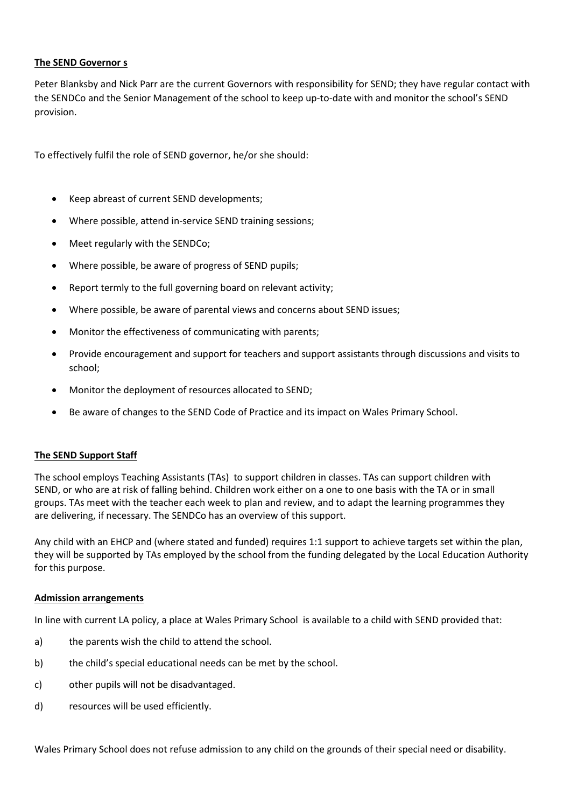#### **The SEND Governor s**

Peter Blanksby and Nick Parr are the current Governors with responsibility for SEND; they have regular contact with the SENDCo and the Senior Management of the school to keep up-to-date with and monitor the school's SEND provision.

To effectively fulfil the role of SEND governor, he/or she should:

- Keep abreast of current SEND developments;
- Where possible, attend in-service SEND training sessions;
- Meet regularly with the SENDCo;
- Where possible, be aware of progress of SEND pupils;
- Report termly to the full governing board on relevant activity;
- Where possible, be aware of parental views and concerns about SEND issues;
- Monitor the effectiveness of communicating with parents;
- Provide encouragement and support for teachers and support assistants through discussions and visits to school;
- Monitor the deployment of resources allocated to SEND;
- Be aware of changes to the SEND Code of Practice and its impact on Wales Primary School.

#### **The SEND Support Staff**

The school employs Teaching Assistants (TAs) to support children in classes. TAs can support children with SEND, or who are at risk of falling behind. Children work either on a one to one basis with the TA or in small groups. TAs meet with the teacher each week to plan and review, and to adapt the learning programmes they are delivering, if necessary. The SENDCo has an overview of this support.

Any child with an EHCP and (where stated and funded) requires 1:1 support to achieve targets set within the plan, they will be supported by TAs employed by the school from the funding delegated by the Local Education Authority for this purpose.

#### **Admission arrangements**

In line with current LA policy, a place at Wales Primary School is available to a child with SEND provided that:

- a) the parents wish the child to attend the school.
- b) the child's special educational needs can be met by the school.
- c) other pupils will not be disadvantaged.
- d) resources will be used efficiently.

Wales Primary School does not refuse admission to any child on the grounds of their special need or disability.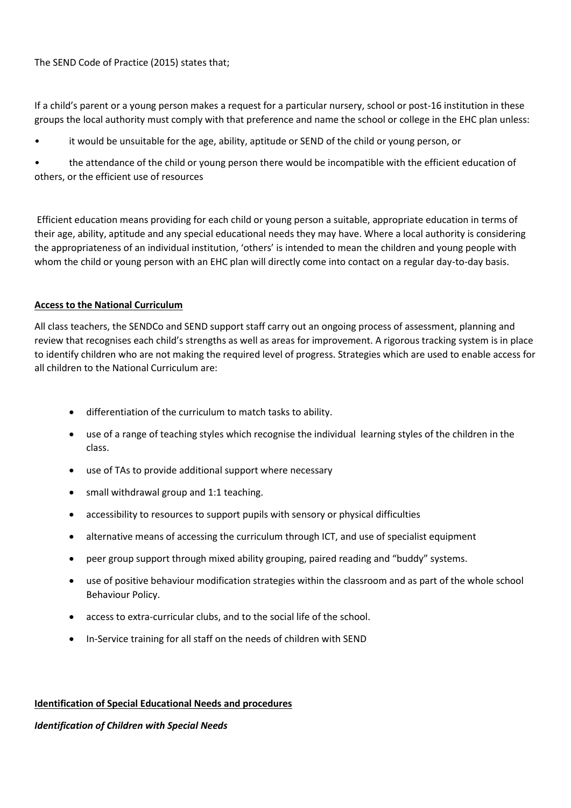## The SEND Code of Practice (2015) states that;

If a child's parent or a young person makes a request for a particular nursery, school or post-16 institution in these groups the local authority must comply with that preference and name the school or college in the EHC plan unless:

it would be unsuitable for the age, ability, aptitude or SEND of the child or young person, or

• the attendance of the child or young person there would be incompatible with the efficient education of others, or the efficient use of resources

Efficient education means providing for each child or young person a suitable, appropriate education in terms of their age, ability, aptitude and any special educational needs they may have. Where a local authority is considering the appropriateness of an individual institution, 'others' is intended to mean the children and young people with whom the child or young person with an EHC plan will directly come into contact on a regular day-to-day basis.

## **Access to the National Curriculum**

All class teachers, the SENDCo and SEND support staff carry out an ongoing process of assessment, planning and review that recognises each child's strengths as well as areas for improvement. A rigorous tracking system is in place to identify children who are not making the required level of progress. Strategies which are used to enable access for all children to the National Curriculum are:

- differentiation of the curriculum to match tasks to ability.
- use of a range of teaching styles which recognise the individual learning styles of the children in the class.
- use of TAs to provide additional support where necessary
- small withdrawal group and 1:1 teaching.
- accessibility to resources to support pupils with sensory or physical difficulties
- alternative means of accessing the curriculum through ICT, and use of specialist equipment
- peer group support through mixed ability grouping, paired reading and "buddy" systems.
- use of positive behaviour modification strategies within the classroom and as part of the whole school Behaviour Policy.
- access to extra-curricular clubs, and to the social life of the school.
- In-Service training for all staff on the needs of children with SEND

#### **Identification of Special Educational Needs and procedures**

#### *Identification of Children with Special Needs*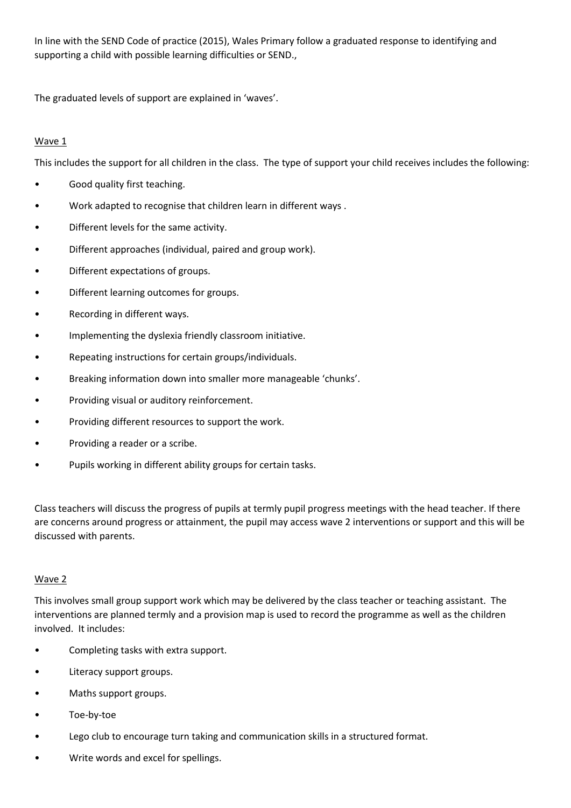In line with the SEND Code of practice (2015), Wales Primary follow a graduated response to identifying and supporting a child with possible learning difficulties or SEND.,

The graduated levels of support are explained in 'waves'.

# Wave 1

This includes the support for all children in the class. The type of support your child receives includes the following:

- Good quality first teaching.
- Work adapted to recognise that children learn in different ways .
- Different levels for the same activity.
- Different approaches (individual, paired and group work).
- Different expectations of groups.
- Different learning outcomes for groups.
- Recording in different ways.
- Implementing the dyslexia friendly classroom initiative.
- Repeating instructions for certain groups/individuals.
- Breaking information down into smaller more manageable 'chunks'.
- Providing visual or auditory reinforcement.
- Providing different resources to support the work.
- Providing a reader or a scribe.
- Pupils working in different ability groups for certain tasks.

Class teachers will discuss the progress of pupils at termly pupil progress meetings with the head teacher. If there are concerns around progress or attainment, the pupil may access wave 2 interventions or support and this will be discussed with parents.

# Wave 2

This involves small group support work which may be delivered by the class teacher or teaching assistant. The interventions are planned termly and a provision map is used to record the programme as well as the children involved. It includes:

- Completing tasks with extra support.
- Literacy support groups.
- Maths support groups.
- Toe-by-toe
- Lego club to encourage turn taking and communication skills in a structured format.
- Write words and excel for spellings.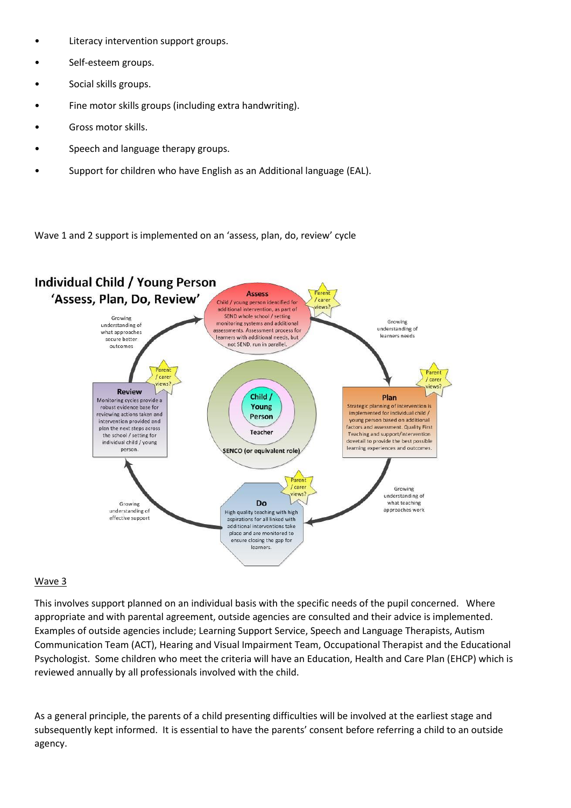- Literacy intervention support groups.
- Self-esteem groups.
- Social skills groups.
- Fine motor skills groups (including extra handwriting).
- Gross motor skills.
- Speech and language therapy groups.
- Support for children who have English as an Additional language (EAL).

Wave 1 and 2 support is implemented on an 'assess, plan, do, review' cycle



#### Wave 3

This involves support planned on an individual basis with the specific needs of the pupil concerned. Where appropriate and with parental agreement, outside agencies are consulted and their advice is implemented. Examples of outside agencies include; Learning Support Service, Speech and Language Therapists, Autism Communication Team (ACT), Hearing and Visual Impairment Team, Occupational Therapist and the Educational Psychologist. Some children who meet the criteria will have an Education, Health and Care Plan (EHCP) which is reviewed annually by all professionals involved with the child.

As a general principle, the parents of a child presenting difficulties will be involved at the earliest stage and subsequently kept informed. It is essential to have the parents' consent before referring a child to an outside agency.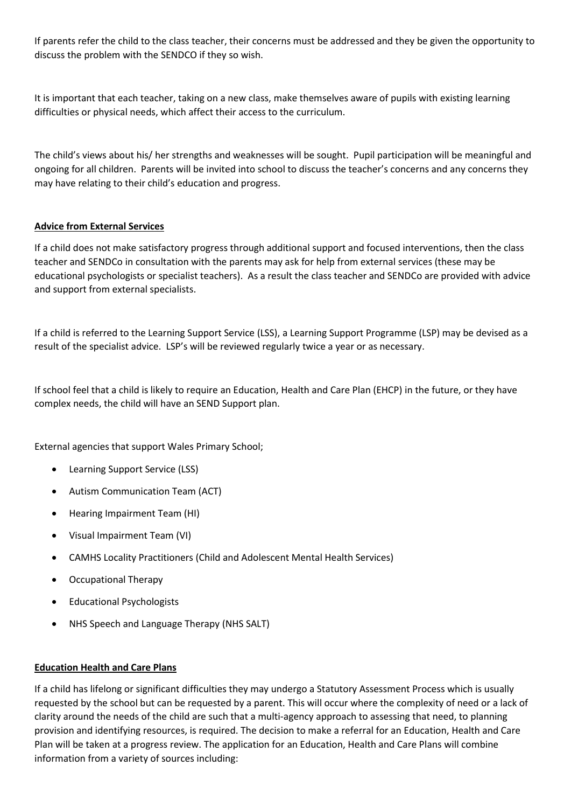If parents refer the child to the class teacher, their concerns must be addressed and they be given the opportunity to discuss the problem with the SENDCO if they so wish.

It is important that each teacher, taking on a new class, make themselves aware of pupils with existing learning difficulties or physical needs, which affect their access to the curriculum.

The child's views about his/ her strengths and weaknesses will be sought. Pupil participation will be meaningful and ongoing for all children. Parents will be invited into school to discuss the teacher's concerns and any concerns they may have relating to their child's education and progress.

# **Advice from External Services**

If a child does not make satisfactory progress through additional support and focused interventions, then the class teacher and SENDCo in consultation with the parents may ask for help from external services (these may be educational psychologists or specialist teachers). As a result the class teacher and SENDCo are provided with advice and support from external specialists.

If a child is referred to the Learning Support Service (LSS), a Learning Support Programme (LSP) may be devised as a result of the specialist advice. LSP's will be reviewed regularly twice a year or as necessary.

If school feel that a child is likely to require an Education, Health and Care Plan (EHCP) in the future, or they have complex needs, the child will have an SEND Support plan.

External agencies that support Wales Primary School;

- Learning Support Service (LSS)
- Autism Communication Team (ACT)
- Hearing Impairment Team (HI)
- Visual Impairment Team (VI)
- CAMHS Locality Practitioners (Child and Adolescent Mental Health Services)
- Occupational Therapy
- Educational Psychologists
- NHS Speech and Language Therapy (NHS SALT)

#### **Education Health and Care Plans**

If a child has lifelong or significant difficulties they may undergo a Statutory Assessment Process which is usually requested by the school but can be requested by a parent. This will occur where the complexity of need or a lack of clarity around the needs of the child are such that a multi-agency approach to assessing that need, to planning provision and identifying resources, is required. The decision to make a referral for an Education, Health and Care Plan will be taken at a progress review. The application for an Education, Health and Care Plans will combine information from a variety of sources including: